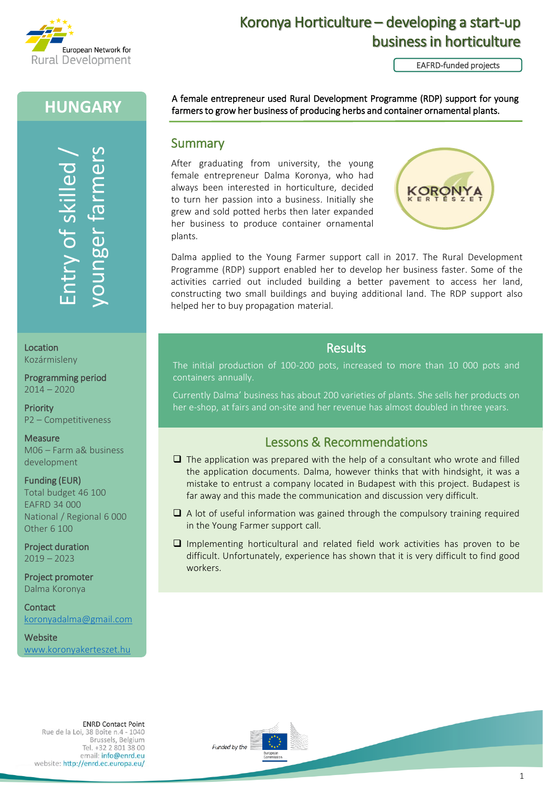

# Koronya Horticulture – developing a start-up business in horticulture

EAFRD-funded projects

## **HUNGARY**

Website<br>Books (Location<br>Rozármisleny<br>Programming period<br>2014 – 2020<br>Priority<br>P2 – Competitiveness<br>Measure<br>Mosaure<br>Mosaure<br>Mosaure<br>Hunding (EUR)<br>Total budget 46 100<br>National / Regional 6 000<br>Other 6 100<br>Project duration<br>201

Location Kozármisleny

Programming period 2014 – 2020

**Priority** P2 – Competitiveness

Measure M06 – Farm a& business development

Funding (EUR) Total budget 46 100 EAFRD 34 000 National / Regional 6 000 Other 6 100

Project duration 2019 – 2023

Project promoter Dalma Koronya

**Contact** [koronyadalma@gmail.com](mailto:koronyadalma@gmail.com)

**Website** 

A female entrepreneur used Rural Development Programme (RDP) support for young farmers to grow her business of producing herbs and container ornamental plants.

### **Summary**

After graduating from university, the young female entrepreneur Dalma Koronya, who had always been interested in horticulture, decided to turn her passion into a business. Initially she grew and sold potted herbs then later expanded her business to produce container ornamental plants.



Dalma applied to the Young Farmer support call in 2017. The Rural Development Programme (RDP) support enabled her to develop her business faster. Some of the activities carried out included building a better pavement to access her land, constructing two small buildings and buying additional land. The RDP support also helped her to buy propagation material.

### **Results**

The initial production of 100-200 pots, increased to more than 10 000 pots and

Currently Dalma' business has about 200 varieties of plants. She sells her products on her e-shop, at fairs and on-site and her revenue has almost doubled in three years.

## Lessons & Recommendations

- $\Box$  The application was prepared with the help of a consultant who wrote and filled the application documents. Dalma, however thinks that with hindsight, it was a mistake to entrust a company located in Budapest with this project. Budapest is far away and this made the communication and discussion very difficult.
- $\Box$  A lot of useful information was gained through the compulsory training required in the Young Farmer support call.
- ❑ Implementing horticultural and related field work activities has proven to be difficult. Unfortunately, experience has shown that it is very difficult to find good workers.



Rue de la Loi, 38 Boîte n.4 - 1040 Brussels, Belgium Tel. +32 2 801 38 00 email: info@enrd.eu website: http://enrd.ec.europa.eu/

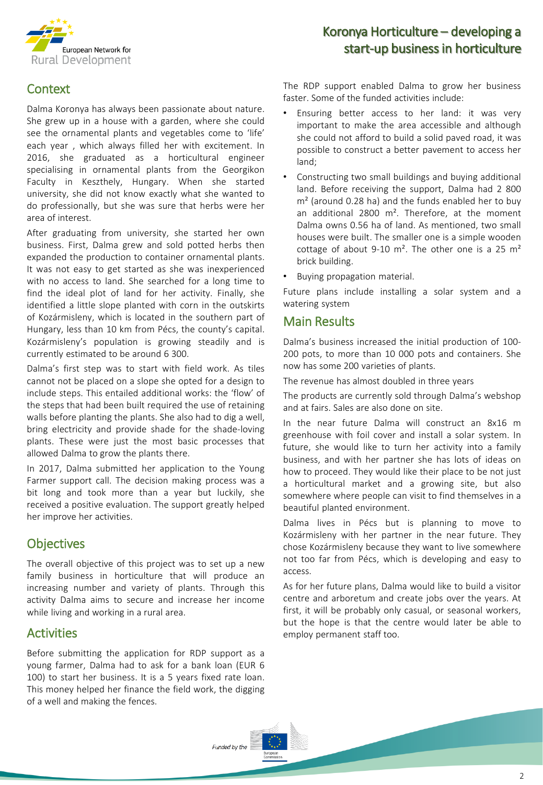

## **Context**

Dalma Koronya has always been passionate about nature. She grew up in a house with a garden, where she could see the ornamental plants and vegetables come to 'life' each year , which always filled her with excitement. In 2016, she graduated as a horticultural engineer specialising in ornamental plants from the Georgikon Faculty in Keszthely, Hungary. When she started university, she did not know exactly what she wanted to do professionally, but she was sure that herbs were her area of interest.

After graduating from university, she started her own business. First, Dalma grew and sold potted herbs then expanded the production to container ornamental plants. It was not easy to get started as she was inexperienced with no access to land. She searched for a long time to find the ideal plot of land for her activity. Finally, she identified a little slope planted with corn in the outskirts of Kozármisleny, which is located in the southern part of Hungary, less than 10 km from Pécs, the county's capital. Kozármisleny's population is growing steadily and is currently estimated to be around 6 300.

Dalma's first step was to start with field work. As tiles cannot not be placed on a slope she opted for a design to include steps. This entailed additional works: the 'flow' of the steps that had been built required the use of retaining walls before planting the plants. She also had to dig a well, bring electricity and provide shade for the shade-loving plants. These were just the most basic processes that allowed Dalma to grow the plants there.

In 2017, Dalma submitted her application to the Young Farmer support call. The decision making process was a bit long and took more than a year but luckily, she received a positive evaluation. The support greatly helped her improve her activities.

## **Objectives**

The overall objective of this project was to set up a new family business in horticulture that will produce an increasing number and variety of plants. Through this activity Dalma aims to secure and increase her income while living and working in a rural area.

### **Activities**

Before submitting the application for RDP support as a young farmer, Dalma had to ask for a bank loan (EUR 6 100) to start her business. It is a 5 years fixed rate loan. This money helped her finance the field work, the digging of a well and making the fences.

## Koronya Horticulture – developing a start-up business in horticulture

The RDP support enabled Dalma to grow her business faster. Some of the funded activities include:

- Ensuring better access to her land: it was very important to make the area accessible and although she could not afford to build a solid paved road, it was possible to construct a better pavement to access her land;
- Constructing two small buildings and buying additional land. Before receiving the support, Dalma had 2 800  $m<sup>2</sup>$  (around 0.28 ha) and the funds enabled her to buy an additional 2800 m<sup>2</sup>. Therefore, at the moment Dalma owns 0.56 ha of land. As mentioned, two small houses were built. The smaller one is a simple wooden cottage of about 9-10  $m^2$ . The other one is a 25  $m^2$ brick building.
- Buying propagation material.

Future plans include installing a solar system and a watering system

#### Main Results

Dalma's business increased the initial production of 100- 200 pots, to more than 10 000 pots and containers. She now has some 200 varieties of plants.

The revenue has almost doubled in three years

The products are currently sold through Dalma's webshop and at fairs. Sales are also done on site.

In the near future Dalma will construct an 8x16 m greenhouse with foil cover and install a solar system. In future, she would like to turn her activity into a family business, and with her partner she has lots of ideas on how to proceed. They would like their place to be not just a horticultural market and a growing site, but also somewhere where people can visit to find themselves in a beautiful planted environment.

Dalma lives in Pécs but is planning to move to Kozármisleny with her partner in the near future. They chose Kozármisleny because they want to live somewhere not too far from Pécs, which is developing and easy to access.

As for her future plans, Dalma would like to build a visitor centre and arboretum and create jobs over the years. At first, it will be probably only casual, or seasonal workers, but the hope is that the centre would later be able to employ permanent staff too.